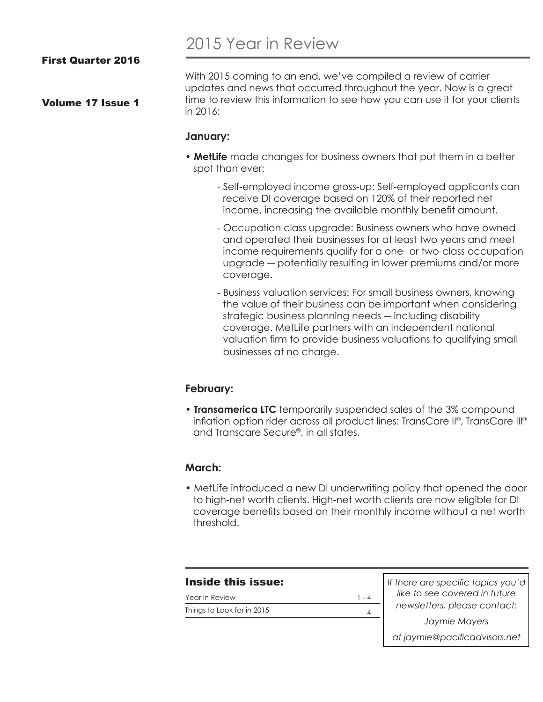Volume 17 Issue 1

# 2015 Year in Review

With 2015 coming to an end, we've compiled a review of carrier updates and news that occurred throughout the year. Now is a great time to review this information to see how you can use it for your clients in 2016:

#### **January:**

- **MetLife** made changes for business owners that put them in a better spot than ever:
	- Self-employed income gross-up: Self-employed applicants can receive DI coverage based on 120% of their reported net income, increasing the available monthly benefit amount.
	- Occupation class upgrade: Business owners who have owned and operated their businesses for at least two years and meet income requirements qualify for a one- or two-class occupation upgrade ― potentially resulting in lower premiums and/or more coverage.
	- Business valuation services: For small business owners, knowing the value of their business can be important when considering strategic business planning needs ― including disability coverage. MetLife partners with an independent national valuation firm to provide business valuations to qualifying small businesses at no charge.

### **February:**

• **Transamerica LTC** temporarily suspended sales of the 3% compound inflation option rider across all product lines: TransCare II®, TransCare III® and Transcare Secure®, in all states.

#### **March:**

• MetLife introduced a new DI underwriting policy that opened the door to high-net worth clients. High-net worth clients are now eligible for DI coverage benefits based on their monthly income without a net worth threshold.

4

### Inside this issue:

Year in Review Things to Look for in 2015  $1 - 4$  *If there are specific topics you'd like to see covered in future newsletters, please contact: Jaymie Mayers at jaymie@pacificadvisors.net*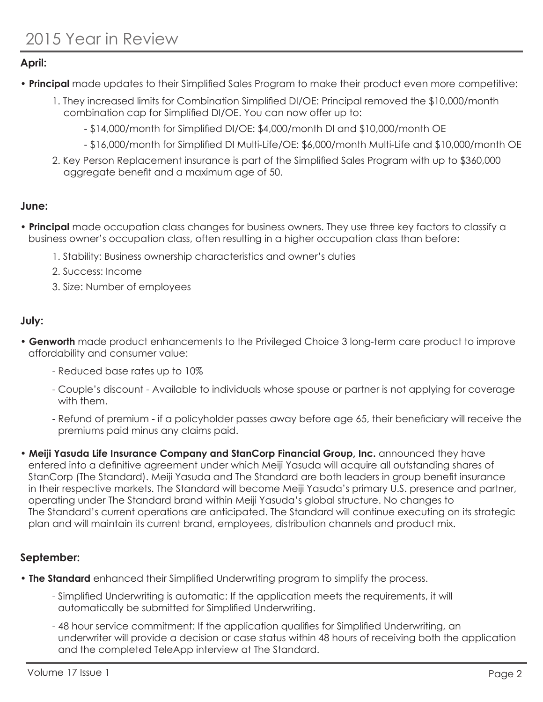## **April:**

- **Principal** made updates to their Simplified Sales Program to make their product even more competitive:
	- 1. They increased limits for Combination Simplified DI/OE: Principal removed the \$10,000/month combination cap for Simplified DI/OE. You can now offer up to:
		- \$14,000/month for Simplified DI/OE: \$4,000/month DI and \$10,000/month OE
		- \$16,000/month for Simplified DI Multi-Life/OE: \$6,000/month Multi-Life and \$10,000/month OE
	- 2. Key Person Replacement insurance is part of the Simplified Sales Program with up to \$360,000 aggregate benefit and a maximum age of 50.

## **June:**

- **Principal** made occupation class changes for business owners. They use three key factors to classify a business owner's occupation class, often resulting in a higher occupation class than before:
	- 1. Stability: Business ownership characteristics and owner's duties
	- 2. Success: Income
	- 3. Size: Number of employees

### **July:**

- **Genworth** made product enhancements to the Privileged Choice 3 long-term care product to improve affordability and consumer value:
	- Reduced base rates up to 10%
	- Couple's discount Available to individuals whose spouse or partner is not applying for coverage with them.
	- Refund of premium if a policyholder passes away before age 65, their beneficiary will receive the premiums paid minus any claims paid.
- **Meiji Yasuda Life Insurance Company and StanCorp Financial Group, Inc.** announced they have entered into a definitive agreement under which Meiji Yasuda will acquire all outstanding shares of StanCorp (The Standard). Meiji Yasuda and The Standard are both leaders in group benefit insurance in their respective markets. The Standard will become Meiji Yasuda's primary U.S. presence and partner, operating under The Standard brand within Meiji Yasuda's global structure. No changes to The Standard's current operations are anticipated. The Standard will continue executing on its strategic plan and will maintain its current brand, employees, distribution channels and product mix.

# **September:**

- **The Standard** enhanced their Simplified Underwriting program to simplify the process.
	- Simplified Underwriting is automatic: If the application meets the requirements, it will automatically be submitted for Simplified Underwriting.
	- 48 hour service commitment: If the application qualifies for Simplified Underwriting, an underwriter will provide a decision or case status within 48 hours of receiving both the application and the completed TeleApp interview at The Standard.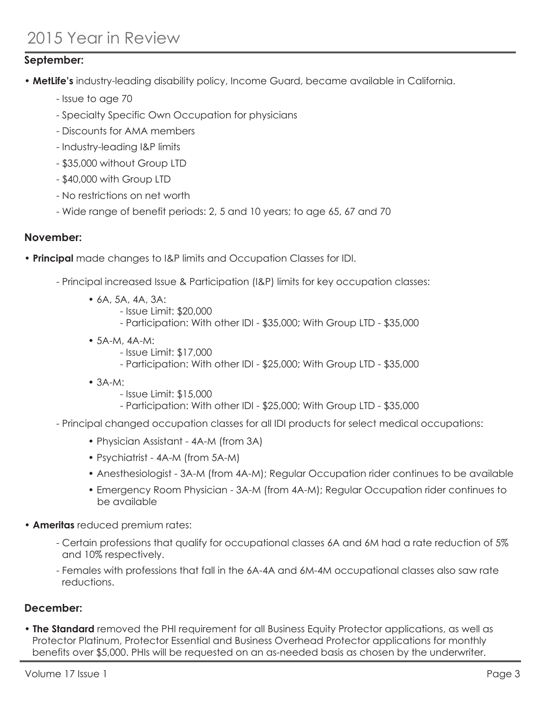# 2015 Year in Review

## **September:**

- **MetLife's** industry-leading disability policy, Income Guard, became available in California.
	- Issue to age 70
	- Specialty Specific Own Occupation for physicians
	- Discounts for AMA members
	- Industry-leading I&P limits
	- \$35,000 without Group LTD
	- \$40,000 with Group LTD
	- No restrictions on net worth
	- Wide range of benefit periods: 2, 5 and 10 years; to age 65, 67 and 70

### **November:**

- **Principal** made changes to I&P limits and Occupation Classes for IDI.
	- Principal increased Issue & Participation (I&P) limits for key occupation classes:
		- 6A, 5A, 4A, 3A:
			- Issue Limit: \$20,000
			- Participation: With other IDI \$35,000; With Group LTD \$35,000
		- 5A-M, 4A-M:
			- Issue Limit: \$17,000
			- Participation: With other IDI \$25,000; With Group LTD \$35,000
		- 3A-M:
			- Issue Limit: \$15,000
			- Participation: With other IDI \$25,000; With Group LTD \$35,000
	- Principal changed occupation classes for all IDI products for select medical occupations:
		- Physician Assistant 4A-M (from 3A)
		- Psychiatrist 4A-M (from 5A-M)
		- Anesthesiologist 3A-M (from 4A-M); Regular Occupation rider continues to be available
		- Emergency Room Physician 3A-M (from 4A-M); Regular Occupation rider continues to be available
- **Ameritas** reduced premium rates:
	- Certain professions that qualify for occupational classes 6A and 6M had a rate reduction of 5% and 10% respectively.
	- Females with professions that fall in the 6A-4A and 6M-4M occupational classes also saw rate reductions.

### **December:**

• **The Standard** removed the PHI requirement for all Business Equity Protector applications, as well as Protector Platinum, Protector Essential and Business Overhead Protector applications for monthly benefits over \$5,000. PHIs will be requested on an as-needed basis as chosen by the underwriter.